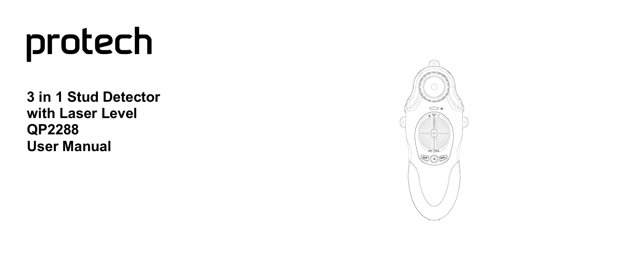# protech

**3 in 1 Stud Detector with Laser Level QP2288 User Manual**

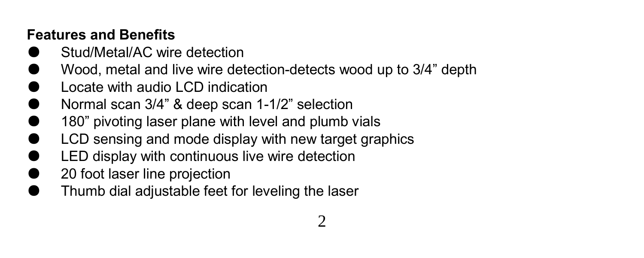# **Features and Benefits**

- Stud/Metal/AC wire detection
- Wood, metal and live wire detection-detects wood up to 3/4" depth
- Locate with audio LCD indication
- Normal scan 3/4" & deep scan 1-1/2" selection
- 180" pivoting laser plane with level and plumb vials
- LCD sensing and mode display with new target graphics
- LED display with continuous live wire detection
- 20 foot laser line projection
- Thumb dial adjustable feet for leveling the laser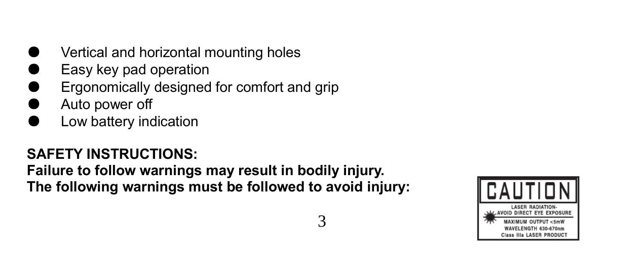- Vertical and horizontal mounting holes
- Easy key pad operation
- Ergonomically designed for comfort and grip
- Auto power off
- Low battery indication

# **SAFETY INSTRUCTIONS:**

**Failure to follow warnings may result in bodily injury. The following warnings must be followed to avoid injury:**

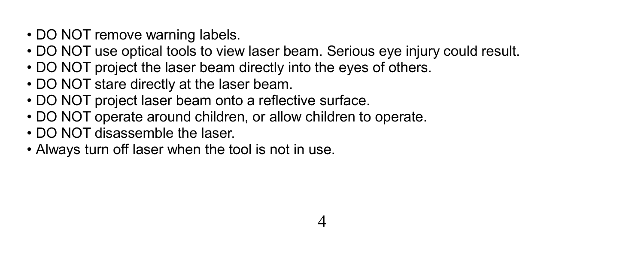- DO NOT remove warning labels.
- DO NOT use optical tools to view laser beam. Serious eye injury could result.

4

- DO NOT project the laser beam directly into the eyes of others.
- DO NOT stare directly at the laser beam.
- DO NOT project laser beam onto a reflective surface.
- DO NOT operate around children, or allow children to operate.
- DO NOT disassemble the laser.
- Always turn off laser when the tool is not in use.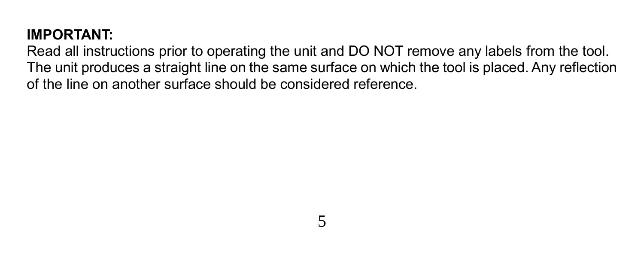#### **IMPORTANT:**

Read all instructions prior to operating the unit and DO NOT remove any labels from the tool. The unit produces a straight line on the same surface on which the tool is placed. Any reflection of the line on another surface should be considered reference.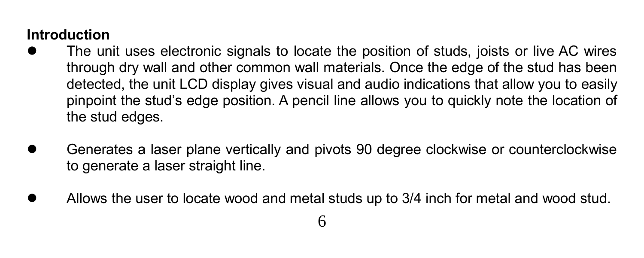#### **Introduction**

- The unit uses electronic signals to locate the position of studs, joists or live AC wires through dry wall and other common wall materials. Once the edge of the stud has been detected, the unit LCD display gives visual and audio indications that allow you to easily pinpoint the stud's edge position. A pencil line allows you to quickly note the location of the stud edges.
- Generates a laser plane vertically and pivots 90 degree clockwise or counterclockwise to generate a laser straight line.
- Allows the user to locate wood and metal studs up to 3/4 inch for metal and wood stud.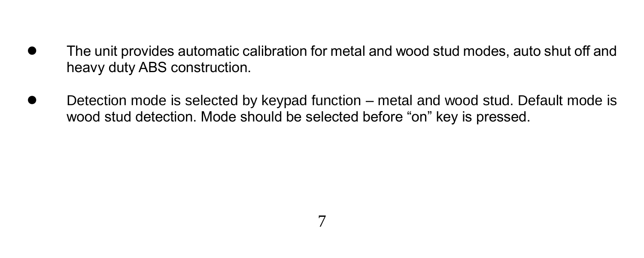- The unit provides automatic calibration for metal and wood stud modes, auto shut off and heavy duty ABS construction.
- Detection mode is selected by keypad function metal and wood stud. Default mode is wood stud detection. Mode should be selected before "on" key is pressed.

7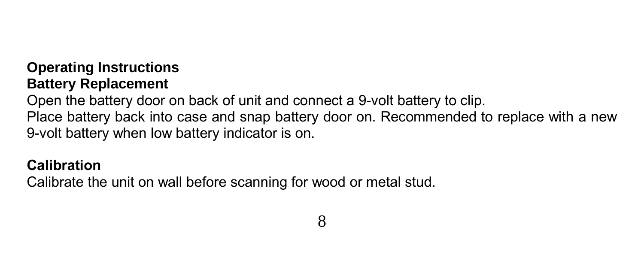### **Operating Instructions Battery Replacement**

Open the battery door on back of unit and connect a 9-volt battery to clip.

Place battery back into case and snap battery door on. Recommended to replace with a new 9-volt battery when low battery indicator is on.

#### **Calibration**

Calibrate the unit on wall before scanning for wood or metal stud.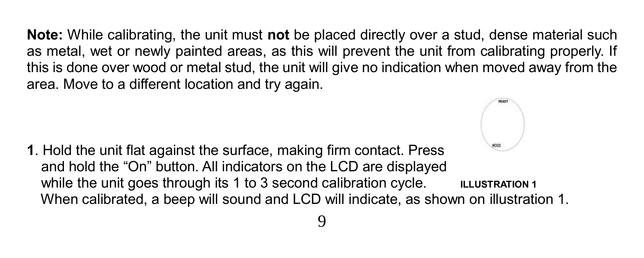**Note:** While calibrating, the unit must **not** be placed directly over a stud, dense material such as metal, wet or newly painted areas, as this will prevent the unit from calibrating properly. If this is done over wood or metal stud, the unit will give no indication when moved away from the area. Move to a different location and try again.

**1**. Hold the unit flat against the surface, making firm contact. Press and hold the "On" button. All indicators on the LCD are displayed while the unit goes through its 1 to 3 second calibration cycle. **ILLUSTRATION 1** When calibrated, a beep will sound and LCD will indicate, as shown on illustration 1.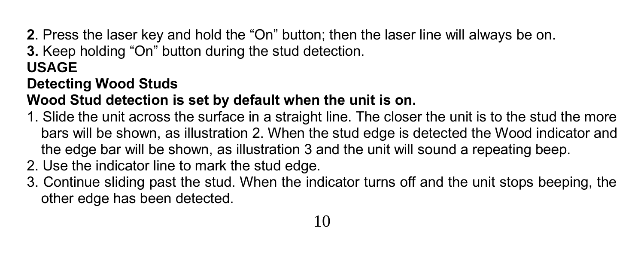**2**. Press the laser key and hold the "On" button; then the laser line will always be on.

**3.** Keep holding "On" button during the stud detection. **USAGE**

# **Detecting Wood Studs**

# **Wood Stud detection is set by default when the unit is on.**

- 1. Slide the unit across the surface in a straight line. The closer the unit is to the stud the more bars will be shown, as illustration 2. When the stud edge is detected the Wood indicator and the edge bar will be shown, as illustration 3 and the unit will sound a repeating beep. 2. Use the indicator line to mark the stud edge.
- 3. Continue sliding past the stud. When the indicator turns off and the unit stops beeping, the other edge has been detected.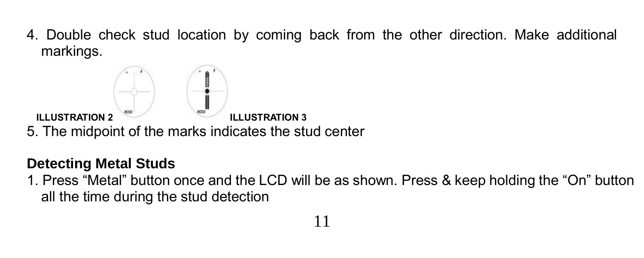4. Double check stud location by coming back from the other direction. Make additional markings.

**ILLUSTRATION 2 ILLUSTRATION 3** 5. The midpoint of the marks indicates the stud center

#### **Detecting Metal Studs**

1. Press "Metal" button once and the LCD will be as shown. Press & keep holding the "On" button all the time during the stud detection

11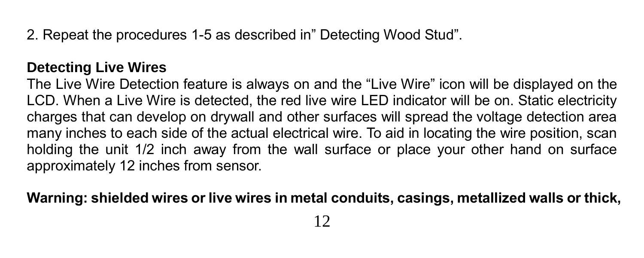2. Repeat the procedures 1-5 as described in" Detecting Wood Stud".

#### **Detecting Live Wires**

The Live Wire Detection feature is always on and the "Live Wire" icon will be displayed on the LCD. When a Live Wire is detected, the red live wire LED indicator will be on. Static electricity charges that can develop on drywall and other surfaces will spread the voltage detection area many inches to each side of the actual electrical wire. To aid in locating the wire position, scan holding the unit 1/2 inch away from the wall surface or place your other hand on surface approximately 12 inches from sensor.

**Warning: shielded wires or live wires in metal conduits, casings, metallized walls or thick,**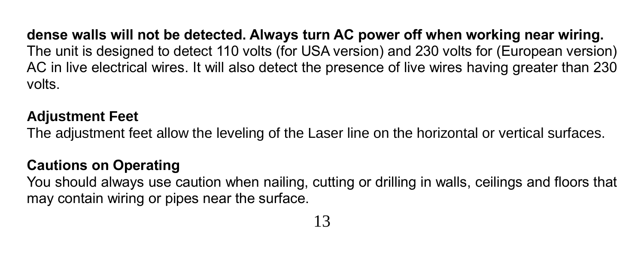**dense walls will not be detected. Always turn AC power off when working near wiring.** The unit is designed to detect 110 volts (for USA version) and 230 volts for (European version) AC in live electrical wires. It will also detect the presence of live wires having greater than 230 volts.

#### **Adjustment Feet**

The adjustment feet allow the leveling of the Laser line on the horizontal or vertical surfaces.

#### **Cautions on Operating**

You should always use caution when nailing, cutting or drilling in walls, ceilings and floors that may contain wiring or pipes near the surface.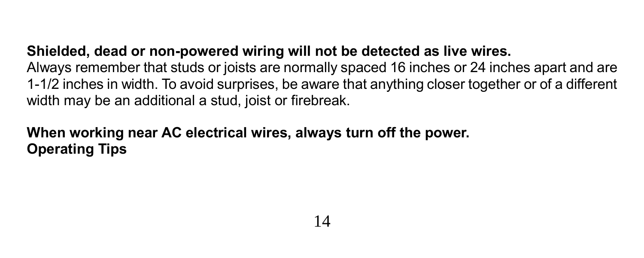#### **Shielded, dead or non-powered wiring will not be detected as live wires.** Always remember that studs or joists are normally spaced 16 inches or 24 inches apart and are

1-1/2 inches in width. To avoid surprises, be aware that anything closer together or of a different width may be an additional a stud, joist or firebreak.

### **When working near AC electrical wires, always turn off the power. Operating Tips**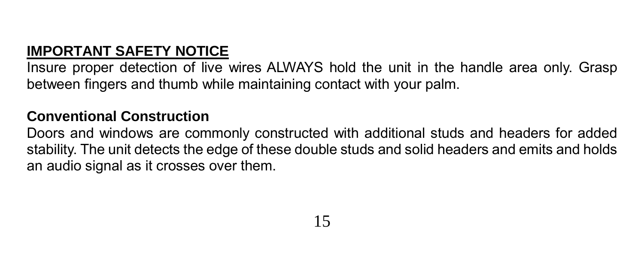# **IMPORTANT SAFETY NOTICE**

Insure proper detection of live wires ALWAYS hold the unit in the handle area only. Grasp between fingers and thumb while maintaining contact with your palm.

#### **Conventional Construction**

Doors and windows are commonly constructed with additional studs and headers for added stability. The unit detects the edge of these double studs and solid headers and emits and holds an audio signal as it crosses over them.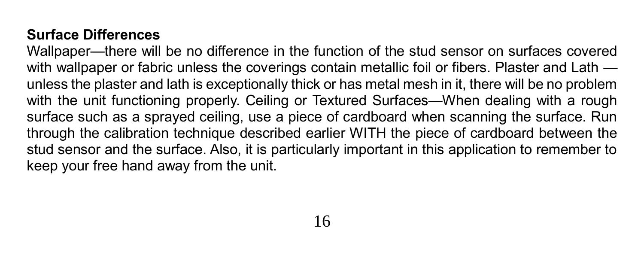#### **Surface Differences**

Wallpaper—there will be no difference in the function of the stud sensor on surfaces covered with wallpaper or fabric unless the coverings contain metallic foil or fibers. Plaster and Lath unless the plaster and lath is exceptionally thick or has metal mesh in it, there will be no problem with the unit functioning properly. Ceiling or Textured Surfaces—When dealing with a rough surface such as a sprayed ceiling, use a piece of cardboard when scanning the surface. Run through the calibration technique described earlier WITH the piece of cardboard between the stud sensor and the surface. Also, it is particularly important in this application to remember to keep your free hand away from the unit.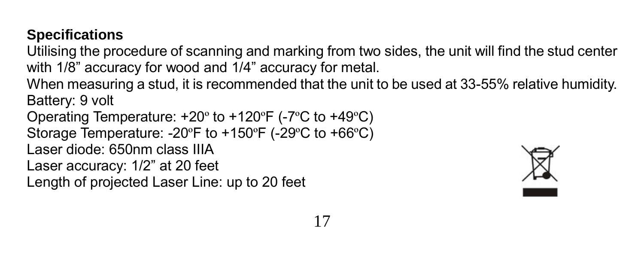## **Specifications**

Utilising the procedure of scanning and marking from two sides, the unit will find the stud center with 1/8" accuracy for wood and 1/4" accuracy for metal.

When measuring a stud, it is recommended that the unit to be used at 33-55% relative humidity. Battery: 9 volt

```
Operating Temperature: +20º to +120ºF (-7ºC to +49ºC)
Storage Temperature: -20ºF to +150ºF (-29ºC to +66ºC)
Laser diode: 650nm class IIIA
Laser accuracy: 1/2" at 20 feet
Length of projected Laser Line: up to 20 feet
```